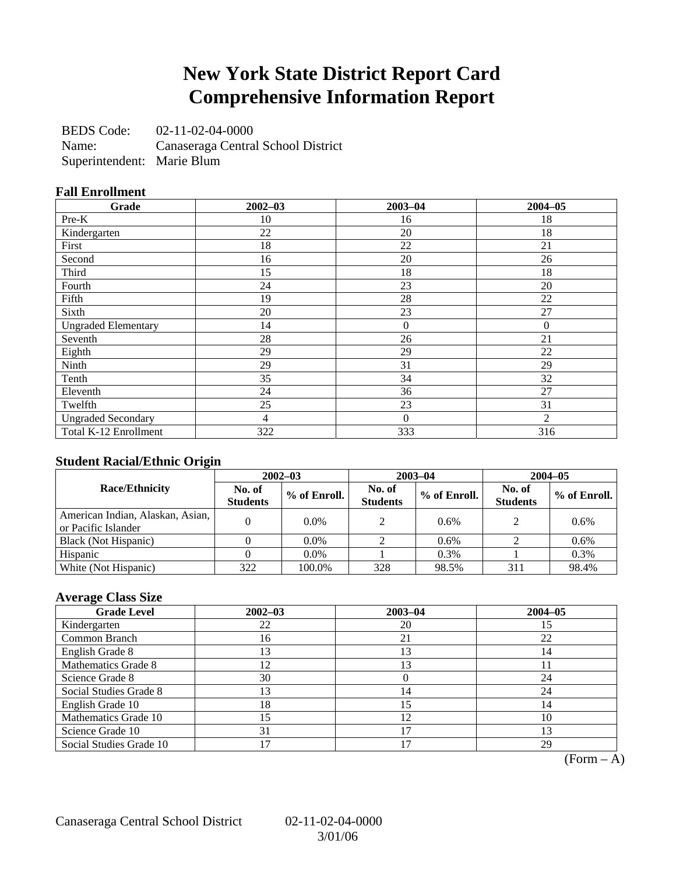## **New York State District Report Card Comprehensive Information Report**

BEDS Code: 02-11-02-04-0000 Name: Canaseraga Central School District Superintendent: Marie Blum

### **Fall Enrollment**

| Grade                      | $2002 - 03$ | $2003 - 04$      | $2004 - 05$    |
|----------------------------|-------------|------------------|----------------|
| Pre-K                      | 10          | 16               | 18             |
| Kindergarten               | 22          | 20               | 18             |
| First                      | 18          | 22               | 21             |
| Second                     | 16          | 20               | 26             |
| Third                      | 15          | 18               | 18             |
| Fourth                     | 24          | 23               | 20             |
| Fifth                      | 19          | 28               | 22             |
| Sixth                      | 20          | 23               | 27             |
| <b>Ungraded Elementary</b> | 14          | $\boldsymbol{0}$ | $\overline{0}$ |
| Seventh                    | 28          | 26               | 21             |
| Eighth                     | 29          | 29               | 22             |
| Ninth                      | 29          | 31               | 29             |
| Tenth                      | 35          | 34               | 32             |
| Eleventh                   | 24          | 36               | 27             |
| Twelfth                    | 25          | 23               | 31             |
| <b>Ungraded Secondary</b>  | 4           | $\theta$         | $\mathfrak{D}$ |
| Total K-12 Enrollment      | 322         | 333              | 316            |

### **Student Racial/Ethnic Origin**

|                                                         | $2002 - 03$               |              |                           | $2003 - 04$  | $2004 - 05$               |              |  |
|---------------------------------------------------------|---------------------------|--------------|---------------------------|--------------|---------------------------|--------------|--|
| <b>Race/Ethnicity</b>                                   | No. of<br><b>Students</b> | % of Enroll. | No. of<br><b>Students</b> | % of Enroll. | No. of<br><b>Students</b> | % of Enroll. |  |
| American Indian, Alaskan, Asian,<br>or Pacific Islander |                           | 0.0%         | $\mathcal{L}$             | 0.6%         |                           | 0.6%         |  |
| Black (Not Hispanic)                                    |                           | $0.0\%$      |                           | $0.6\%$      |                           | 0.6%         |  |
| Hispanic                                                |                           | $0.0\%$      |                           | 0.3%         |                           | 0.3%         |  |
| White (Not Hispanic)                                    | 322                       | 100.0%       | 328                       | 98.5%        | 311                       | 98.4%        |  |

### **Average Class Size**

| <b>Grade Level</b>      | $2002 - 03$   | $2003 - 04$ | $2004 - 05$ |
|-------------------------|---------------|-------------|-------------|
| Kindergarten            | 22            | 20          |             |
| Common Branch           | 16            | 21          | 22          |
| English Grade 8         | 3             | 13          | 14          |
| Mathematics Grade 8     | $\mathcal{L}$ | 13          |             |
| Science Grade 8         | 30            |             | 24          |
| Social Studies Grade 8  | 13            | 14          | 24          |
| English Grade 10        | 18            | 15          | 14          |
| Mathematics Grade 10    | .5            | 12          | 10          |
| Science Grade 10        | 31            | 17          |             |
| Social Studies Grade 10 |               |             | 29          |

 $(Form - A)$ 

Canaseraga Central School District 02-11-02-04-0000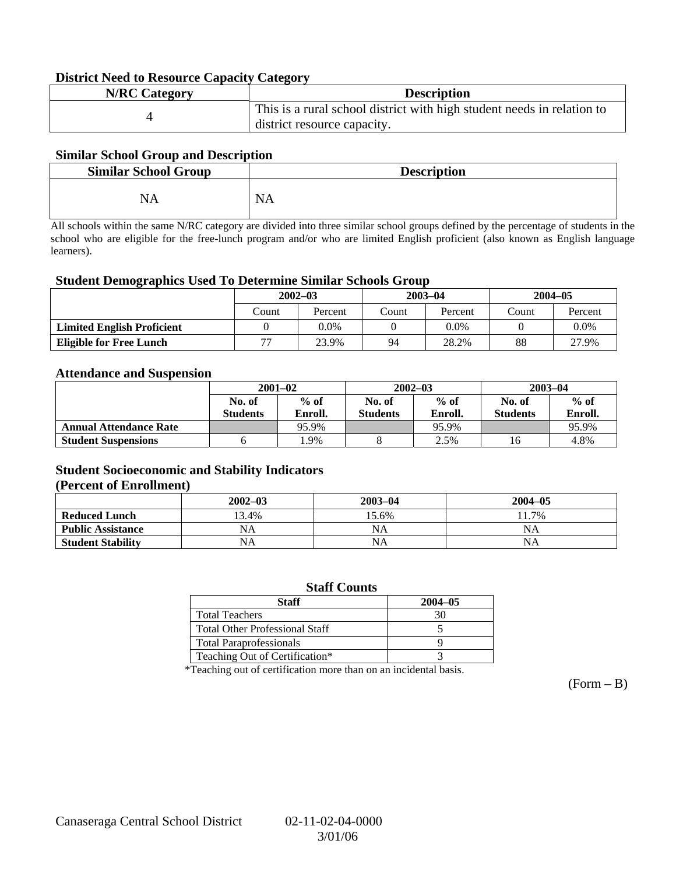### **District Need to Resource Capacity Category**

| <b>N/RC</b> Category | <b>Description</b>                                                     |
|----------------------|------------------------------------------------------------------------|
|                      | This is a rural school district with high student needs in relation to |
|                      | district resource capacity.                                            |

### **Similar School Group and Description**

| <b>Similar School Group</b> | <b>Description</b> |
|-----------------------------|--------------------|
| NA                          | <b>NA</b>          |

All schools within the same N/RC category are divided into three similar school groups defined by the percentage of students in the school who are eligible for the free-lunch program and/or who are limited English proficient (also known as English language learners).

#### **Student Demographics Used To Determine Similar Schools Group**

|                                   | $2002 - 03$<br>Percent<br>Count |      | $2003 - 04$ |         | $2004 - 05$ |         |
|-----------------------------------|---------------------------------|------|-------------|---------|-------------|---------|
|                                   |                                 |      | Count       | Percent | Count       | Percent |
| <b>Limited English Proficient</b> |                                 | 0.0% |             | 0.0%    |             | $0.0\%$ |
| <b>Eligible for Free Lunch</b>    | רת<br>23.9%                     |      | 28.2%<br>94 |         | 88          | 27.9%   |

#### **Attendance and Suspension**

|                               | $2001 - 02$      |         |                  | $2002 - 03$ | $2003 - 04$     |         |
|-------------------------------|------------------|---------|------------------|-------------|-----------------|---------|
|                               | $%$ of<br>No. of |         | $%$ of<br>No. of |             | No. of          | $%$ of  |
|                               | <b>Students</b>  | Enroll. | <b>Students</b>  | Enroll.     | <b>Students</b> | Enroll. |
| <b>Annual Attendance Rate</b> |                  | 95.9%   |                  | 95.9%       |                 | 95.9%   |
| <b>Student Suspensions</b>    |                  | l.9%    |                  | 2.5%        | 16              | 4.8%    |

### **Student Socioeconomic and Stability Indicators (Percent of Enrollment)**

|                          | $2002 - 03$ | $2003 - 04$ | $2004 - 05$ |
|--------------------------|-------------|-------------|-------------|
| <b>Reduced Lunch</b>     | 13.4%       | 15.6%       | 11.7%       |
| <b>Public Assistance</b> | NA          | NA          | NA          |
| <b>Student Stability</b> | NA          | <b>NA</b>   | NA          |

#### **Staff Counts**

| Staff                                 | $2004 - 05$ |
|---------------------------------------|-------------|
| <b>Total Teachers</b>                 |             |
| <b>Total Other Professional Staff</b> |             |
| <b>Total Paraprofessionals</b>        |             |
| Teaching Out of Certification*        |             |

\*Teaching out of certification more than on an incidental basis.

 $(Form - B)$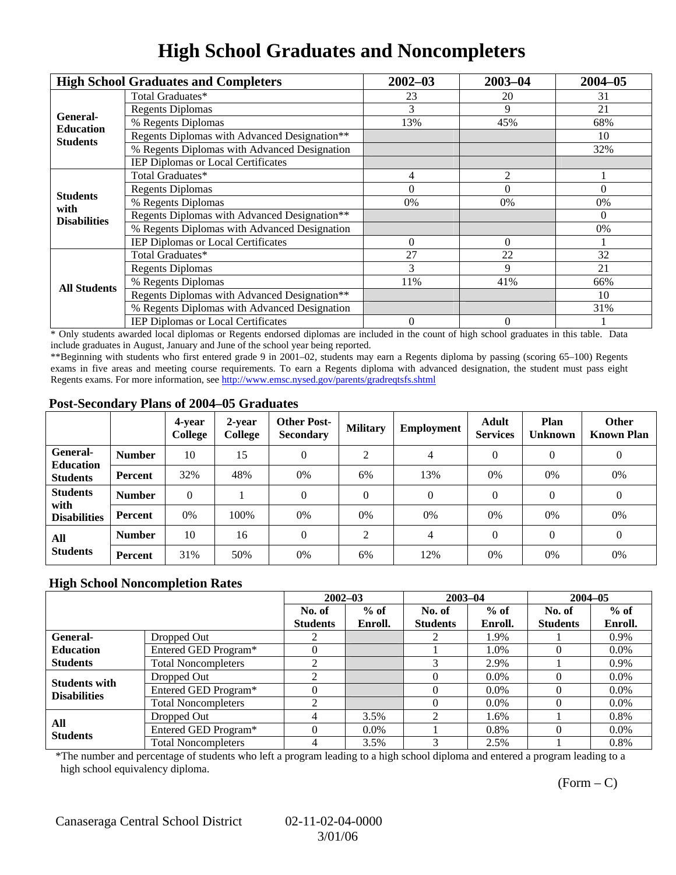## **High School Graduates and Noncompleters**

|                              | <b>High School Graduates and Completers</b>  | $2002 - 03$                                                                             | $2003 - 04$ | $2004 - 05$ |
|------------------------------|----------------------------------------------|-----------------------------------------------------------------------------------------|-------------|-------------|
|                              | Total Graduates*                             | 23                                                                                      | 20          | 31          |
|                              | <b>Regents Diplomas</b>                      | 3                                                                                       | 9           | 21          |
| General-<br><b>Education</b> | % Regents Diplomas                           | 13%                                                                                     | 45%         | 68%         |
| <b>Students</b>              | Regents Diplomas with Advanced Designation** |                                                                                         |             | 10          |
|                              | % Regents Diplomas with Advanced Designation |                                                                                         |             | 32%         |
|                              | IEP Diplomas or Local Certificates           |                                                                                         |             |             |
|                              | Total Graduates*                             | 4                                                                                       | 2           |             |
|                              | <b>Regents Diplomas</b>                      | $\Omega$                                                                                | $\Omega$    | $\Omega$    |
| <b>Students</b><br>with      | % Regents Diplomas                           | 0%                                                                                      | 0%          | 0%          |
| <b>Disabilities</b>          | Regents Diplomas with Advanced Designation** |                                                                                         |             | $\theta$    |
|                              | % Regents Diplomas with Advanced Designation | $\Omega$<br>$\Omega$<br>27<br>22<br>9<br>11%<br>41%<br>$\overline{0}$<br>$\overline{0}$ | 0%          |             |
|                              | IEP Diplomas or Local Certificates           |                                                                                         |             |             |
|                              | Total Graduates*                             |                                                                                         |             | 32          |
|                              | <b>Regents Diplomas</b>                      |                                                                                         |             | 21          |
| <b>All Students</b>          | % Regents Diplomas                           |                                                                                         | 66%         |             |
|                              | Regents Diplomas with Advanced Designation** |                                                                                         |             | 10          |
|                              | % Regents Diplomas with Advanced Designation |                                                                                         |             | 31%         |
|                              | <b>IEP Diplomas or Local Certificates</b>    |                                                                                         |             |             |

\* Only students awarded local diplomas or Regents endorsed diplomas are included in the count of high school graduates in this table. Data include graduates in August, January and June of the school year being reported.

\*\*Beginning with students who first entered grade 9 in 2001–02, students may earn a Regents diploma by passing (scoring 65–100) Regents exams in five areas and meeting course requirements. To earn a Regents diploma with advanced designation, the student must pass eight Regents exams. For more information, see http://www.emsc.nysed.gov/parents/gradreqtsfs.shtml

### **Post-Secondary Plans of 2004–05 Graduates**

|                                                |                | 4-year<br>College | 2-year<br>College | <b>Other Post-</b><br><b>Secondary</b> | <b>Military</b> | Employment | <b>Adult</b><br><b>Services</b> | Plan<br><b>Unknown</b> | <b>Other</b><br><b>Known Plan</b> |
|------------------------------------------------|----------------|-------------------|-------------------|----------------------------------------|-----------------|------------|---------------------------------|------------------------|-----------------------------------|
| General-<br><b>Education</b>                   | <b>Number</b>  | 10                | 15                | 0                                      | ◠               | 4          | $\Omega$                        | $\theta$               | $\boldsymbol{0}$                  |
| <b>Students</b>                                | Percent        | 32%               | 48%               | 0%                                     | 6%              | 13%        | $0\%$                           | 0%                     | 0%                                |
| <b>Students</b><br>with<br><b>Disabilities</b> | <b>Number</b>  | $\theta$          |                   | 0                                      | $\Omega$        | $\Omega$   | $\Omega$                        | $\Omega$               | $\theta$                          |
|                                                | Percent        | 0%                | 100%              | 0%                                     | 0%              | 0%         | 0%                              | 0%                     | 0%                                |
| All<br><b>Students</b>                         | <b>Number</b>  | 10                | 16                | $\Omega$                               | ◠               | 4          | $\Omega$                        | $\Omega$               | $\overline{0}$                    |
|                                                | <b>Percent</b> | 31%               | 50%               | 0%                                     | 6%              | 12%        | 0%                              | 0%                     | 0%                                |

### **High School Noncompletion Rates**

|                        |                            | $2002 - 03$     |         | $2003 - 04$     |         | $2004 - 05$     |         |
|------------------------|----------------------------|-----------------|---------|-----------------|---------|-----------------|---------|
|                        |                            | No. of          | $%$ of  | No. of          | $%$ of  | No. of          | $%$ of  |
|                        |                            | <b>Students</b> | Enroll. | <b>Students</b> | Enroll. | <b>Students</b> | Enroll. |
| <b>General-</b>        | Dropped Out                |                 |         |                 | 1.9%    |                 | 0.9%    |
| <b>Education</b>       | Entered GED Program*       | U               |         |                 | 1.0%    |                 | $0.0\%$ |
| <b>Students</b>        | <b>Total Noncompleters</b> | ◠               |         |                 | 2.9%    |                 | 0.9%    |
| <b>Students with</b>   | Dropped Out                |                 |         |                 | $0.0\%$ |                 | $0.0\%$ |
| <b>Disabilities</b>    | Entered GED Program*       |                 |         |                 | $0.0\%$ |                 | $0.0\%$ |
|                        | <b>Total Noncompleters</b> |                 |         |                 | $0.0\%$ |                 | $0.0\%$ |
| All<br><b>Students</b> | Dropped Out                |                 | 3.5%    |                 | 1.6%    |                 | 0.8%    |
|                        | Entered GED Program*       |                 | $0.0\%$ |                 | 0.8%    | 0               | $0.0\%$ |
|                        | <b>Total Noncompleters</b> |                 | 3.5%    | 3               | 2.5%    |                 | 0.8%    |

\*The number and percentage of students who left a program leading to a high school diploma and entered a program leading to a high school equivalency diploma.

 $(Form - C)$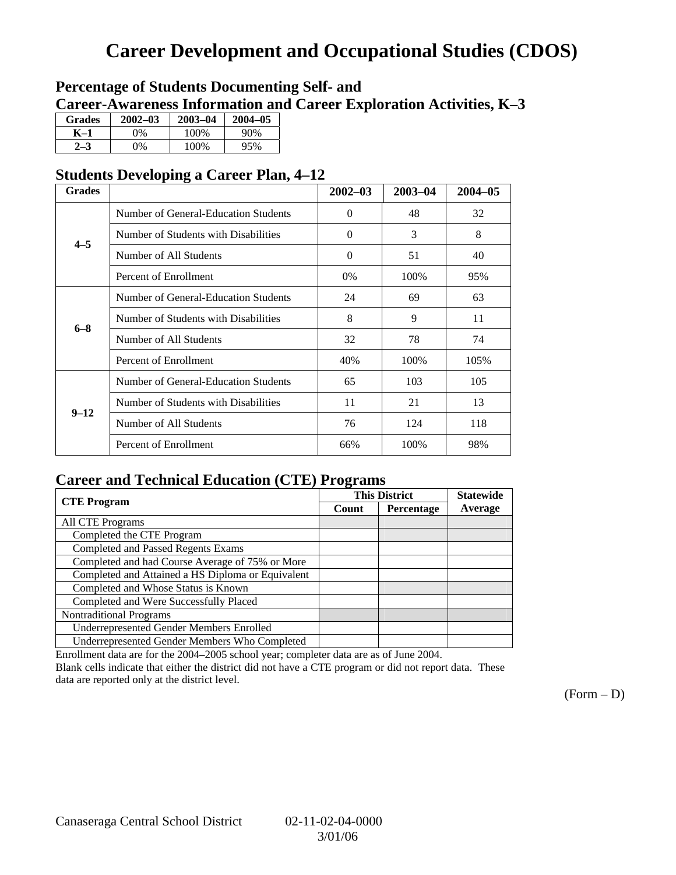# **Career Development and Occupational Studies (CDOS)**

### **Percentage of Students Documenting Self- and Career-Awareness Information and Career Exploration Activities, K–3**

| <b>Grades</b> | $2002 - 03$ | $2003 - 04$ | $2004 - 05$ |
|---------------|-------------|-------------|-------------|
| K–1           | 0%          | 100\%       | 90%         |
|               | $\gamma\%$  | 100\%       | 95%         |

### **Students Developing a Career Plan, 4–12**

| <b>Grades</b> |                                      | $2002 - 03$ | 2003-04 | $2004 - 05$ |
|---------------|--------------------------------------|-------------|---------|-------------|
|               | Number of General-Education Students | $\Omega$    | 48      | 32          |
| $4 - 5$       | Number of Students with Disabilities | $\Omega$    | 3       | 8           |
|               | Number of All Students               | $\Omega$    | 51      | 40          |
|               | Percent of Enrollment                | 0%          | 100%    | 95%         |
|               | Number of General-Education Students | 24          | 69      | 63          |
| $6 - 8$       | Number of Students with Disabilities | 8           | 9       | 11          |
|               | Number of All Students               | 32          | 78      | 74          |
|               | Percent of Enrollment                | 40%         | 100\%   | 105%        |
|               | Number of General-Education Students | 65          | 103     | 105         |
| $9 - 12$      | Number of Students with Disabilities | 11          | 21      | 13          |
|               | Number of All Students               | 76          | 124     | 118         |
|               | Percent of Enrollment                | 66%         | 100%    | 98%         |

### **Career and Technical Education (CTE) Programs**

|                                                   |       | <b>This District</b> | <b>Statewide</b> |
|---------------------------------------------------|-------|----------------------|------------------|
| <b>CTE</b> Program                                | Count | Percentage           | Average          |
| <b>All CTE Programs</b>                           |       |                      |                  |
| Completed the CTE Program                         |       |                      |                  |
| <b>Completed and Passed Regents Exams</b>         |       |                      |                  |
| Completed and had Course Average of 75% or More   |       |                      |                  |
| Completed and Attained a HS Diploma or Equivalent |       |                      |                  |
| Completed and Whose Status is Known               |       |                      |                  |
| Completed and Were Successfully Placed            |       |                      |                  |
| <b>Nontraditional Programs</b>                    |       |                      |                  |
| <b>Underrepresented Gender Members Enrolled</b>   |       |                      |                  |
| Underrepresented Gender Members Who Completed     |       |                      |                  |

Enrollment data are for the 2004–2005 school year; completer data are as of June 2004.

Blank cells indicate that either the district did not have a CTE program or did not report data. These data are reported only at the district level.

 $(Form - D)$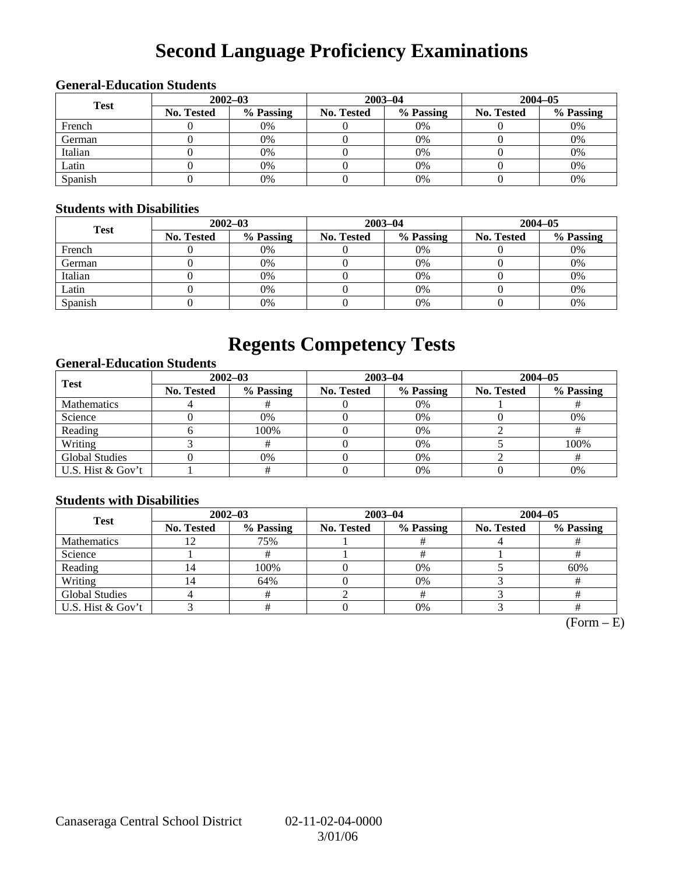# **Second Language Proficiency Examinations**

### **General-Education Students**

| <b>Test</b> | $2002 - 03$       |           |                   | $2003 - 04$ | $2004 - 05$       |           |  |
|-------------|-------------------|-----------|-------------------|-------------|-------------------|-----------|--|
|             | <b>No. Tested</b> | % Passing | <b>No. Tested</b> | % Passing   | <b>No. Tested</b> | % Passing |  |
| French      |                   | 0%        |                   | 0%          |                   | 0%        |  |
| German      |                   | 0%        |                   | 0%          |                   | 0%        |  |
| Italian     |                   | 0%        |                   | 0%          |                   | 0%        |  |
| Latin       |                   | 0%        |                   | 0%          |                   | 0%        |  |
| Spanish     |                   | 0%        |                   | 0%          |                   | 0%        |  |

### **Students with Disabilities**

| <b>Test</b> | $2002 - 03$ |           |            | $2003 - 04$ | $2004 - 05$ |           |  |
|-------------|-------------|-----------|------------|-------------|-------------|-----------|--|
|             | No. Tested  | % Passing | No. Tested | % Passing   | No. Tested  | % Passing |  |
| French      |             | 0%        |            | $0\%$       |             | 0%        |  |
| German      |             | 0%        |            | $0\%$       |             | 0%        |  |
| Italian     |             | 0%        |            | $0\%$       |             | 0%        |  |
| Latin       |             | 0%        |            | 0%          |             | 0%        |  |
| Spanish     |             | 0%        |            | $0\%$       |             | 0%        |  |

## **Regents Competency Tests**

### **General-Education Students**

| <b>Test</b>           |            | $2002 - 03$ |            | $2003 - 04$ | $2004 - 05$       |           |  |
|-----------------------|------------|-------------|------------|-------------|-------------------|-----------|--|
|                       | No. Tested | % Passing   | No. Tested | % Passing   | <b>No. Tested</b> | % Passing |  |
| <b>Mathematics</b>    |            |             |            | 0%          |                   |           |  |
| Science               |            | 0%          |            | 0%          |                   | 0%        |  |
| Reading               |            | 100%        |            | $0\%$       |                   |           |  |
| Writing               |            |             |            | 0%          |                   | 100%      |  |
| <b>Global Studies</b> |            | 0%          |            | 0%          |                   |           |  |
| U.S. Hist & Gov't     |            |             |            | 0%          |                   | 0%        |  |

### **Students with Disabilities**

| <b>Test</b>           | $2002 - 03$       |           | $2003 - 04$ |           | $2004 - 05$ |           |  |
|-----------------------|-------------------|-----------|-------------|-----------|-------------|-----------|--|
|                       | <b>No. Tested</b> | % Passing | No. Tested  | % Passing | No. Tested  | % Passing |  |
| <b>Mathematics</b>    |                   | 75%       |             |           |             |           |  |
| Science               |                   |           |             |           |             |           |  |
| Reading               |                   | 100%      |             | 0%        |             | 60%       |  |
| Writing               | 4                 | 64%       |             | 0%        |             |           |  |
| <b>Global Studies</b> |                   |           |             |           |             |           |  |
| U.S. Hist & Gov't     |                   |           |             | 0%        |             |           |  |

 $(Form - E)$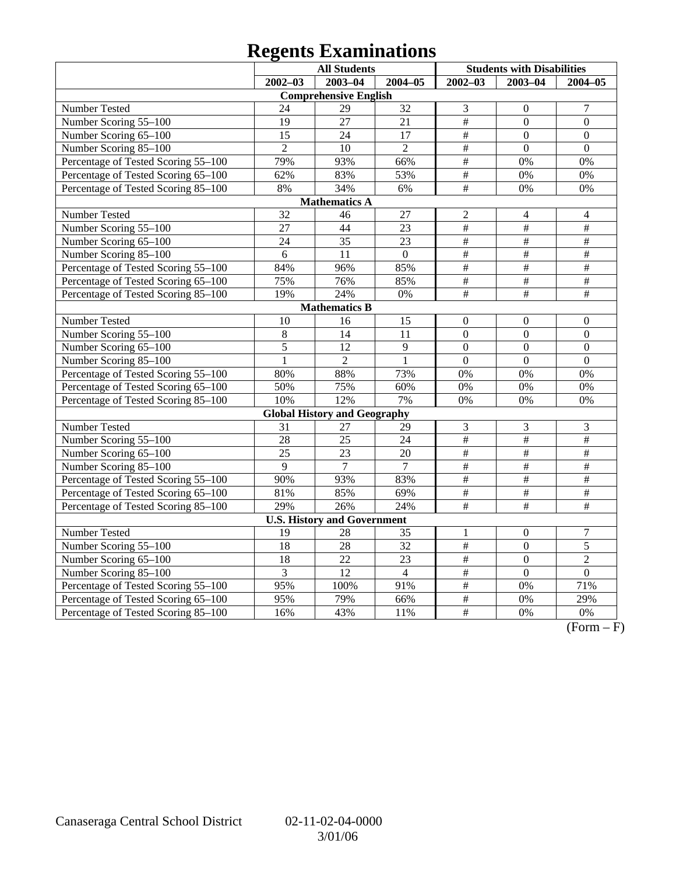# **Regents Examinations**

|                                     | <b>All Students</b> |                                     |                 | <b>Students with Disabilities</b> |                  |                           |
|-------------------------------------|---------------------|-------------------------------------|-----------------|-----------------------------------|------------------|---------------------------|
|                                     | $2002 - 03$         | $2003 - 04$                         | $2004 - 05$     | $2002 - 03$                       | $2003 - 04$      | 2004-05                   |
|                                     |                     | <b>Comprehensive English</b>        |                 |                                   |                  |                           |
| <b>Number Tested</b>                | 24                  | 29                                  | $\overline{32}$ | 3                                 | $\overline{0}$   | $\overline{7}$            |
| Number Scoring 55-100               | 19                  | 27                                  | 21              | $\overline{\#}$                   | $\overline{0}$   | $\overline{0}$            |
| Number Scoring 65-100               | $\overline{15}$     | $\overline{24}$                     | 17              | $\overline{\#}$                   | $\overline{0}$   | $\overline{0}$            |
| Number Scoring 85-100               | $\overline{2}$      | 10                                  | $\overline{2}$  | #                                 | $\overline{0}$   | $\overline{0}$            |
| Percentage of Tested Scoring 55-100 | 79%                 | 93%                                 | 66%             | $\#$                              | 0%               | 0%                        |
| Percentage of Tested Scoring 65-100 | 62%                 | 83%                                 | 53%             | $\#$                              | $0\%$            | 0%                        |
| Percentage of Tested Scoring 85-100 | 8%                  | 34%                                 | 6%              | $\overline{\ddot{\pi}}$           | 0%               | 0%                        |
|                                     |                     | <b>Mathematics A</b>                |                 |                                   |                  |                           |
| Number Tested                       | 32                  | 46                                  | 27              | $\overline{c}$                    | $\overline{4}$   | $\overline{4}$            |
| Number Scoring 55-100               | 27                  | 44                                  | 23              | $\frac{1}{2}$                     | $\#$             | $\overline{\#}$           |
| Number Scoring 65-100               | 24                  | 35                                  | 23              | $\#$                              | $\frac{1}{2}$    | $\overline{\#}$           |
| Number Scoring 85-100               | 6                   | 11                                  | $\overline{0}$  | #                                 | $\#$             | $\#$                      |
| Percentage of Tested Scoring 55-100 | 84%                 | 96%                                 | 85%             | $\overline{\#}$                   | $\overline{\#}$  | $\overline{\#}$           |
| Percentage of Tested Scoring 65-100 | 75%                 | 76%                                 | 85%             | $\overline{\#}$                   | $\overline{\#}$  | $\overline{\#}$           |
| Percentage of Tested Scoring 85-100 | 19%                 | 24%                                 | 0%              | $\overline{\#}$                   | $\overline{\#}$  | #                         |
|                                     |                     | <b>Mathematics B</b>                |                 |                                   |                  |                           |
| Number Tested                       | 10                  | 16                                  | 15              | $\mathbf{0}$                      | $\boldsymbol{0}$ | $\boldsymbol{0}$          |
| Number Scoring 55-100               | $\overline{8}$      | $\overline{14}$                     | $\overline{11}$ | $\overline{0}$                    | $\overline{0}$   | $\overline{0}$            |
| Number Scoring 65-100               | $\overline{5}$      | $\overline{12}$                     | $\overline{9}$  | $\overline{0}$                    | $\overline{0}$   | $\overline{0}$            |
| Number Scoring 85-100               | $\mathbf{1}$        | $\overline{2}$                      | $\mathbf{1}$    | $\overline{0}$                    | $\overline{0}$   | $\overline{0}$            |
| Percentage of Tested Scoring 55-100 | 80%                 | 88%                                 | 73%             | 0%                                | 0%               | 0%                        |
| Percentage of Tested Scoring 65-100 | 50%                 | 75%                                 | 60%             | 0%                                | 0%               | 0%                        |
| Percentage of Tested Scoring 85-100 | 10%                 | 12%                                 | 7%              | 0%                                | 0%               | 0%                        |
|                                     |                     | <b>Global History and Geography</b> |                 |                                   |                  |                           |
| Number Tested                       | 31                  | 27                                  | 29              | 3                                 | $\mathfrak{Z}$   | $\mathfrak{Z}$            |
| Number Scoring 55-100               | 28                  | $\overline{25}$                     | $\overline{24}$ | $\overline{\#}$                   | $\overline{\#}$  | $\#$                      |
| Number Scoring 65-100               | $\overline{25}$     | 23                                  | 20              | $\frac{1}{2}$                     | $\frac{1}{2}$    | $\#$                      |
| Number Scoring 85-100               | 9                   | 7                                   | $\overline{7}$  | $\frac{1}{2}$                     | $\overline{\#}$  | $\#$                      |
| Percentage of Tested Scoring 55-100 | 90%                 | 93%                                 | 83%             | #                                 | #                | $\#$                      |
| Percentage of Tested Scoring 65-100 | 81%                 | 85%                                 | 69%             | $\#$                              | $\#$             | #                         |
| Percentage of Tested Scoring 85-100 | 29%                 | 26%                                 | 24%             | $\#$                              | $\#$             | $\overline{\overline{H}}$ |
|                                     |                     | <b>U.S. History and Government</b>  |                 |                                   |                  |                           |
| Number Tested                       | 19                  | 28                                  | 35              | $\mathbf{1}$                      | $\boldsymbol{0}$ | $\boldsymbol{7}$          |
| Number Scoring 55-100               | 18                  | 28                                  | 32              | $\#$                              | $\overline{0}$   | 5                         |
| Number Scoring 65-100               | 18                  | 22                                  | 23              | #                                 | $\overline{0}$   | $\overline{2}$            |
| Number Scoring 85-100               | 3                   | $\overline{12}$                     | $\overline{4}$  | $\overline{\#}$                   | $\overline{0}$   | $\overline{0}$            |
| Percentage of Tested Scoring 55-100 | 95%                 | 100%                                | 91%             | #                                 | 0%               | 71%                       |
| Percentage of Tested Scoring 65-100 | 95%                 | 79%                                 | 66%             | $\#$                              | 0%               | 29%                       |
| Percentage of Tested Scoring 85-100 | 16%                 | 43%                                 | 11%             | #                                 | 0%               | 0%                        |

 $\overline{(Form - F)}$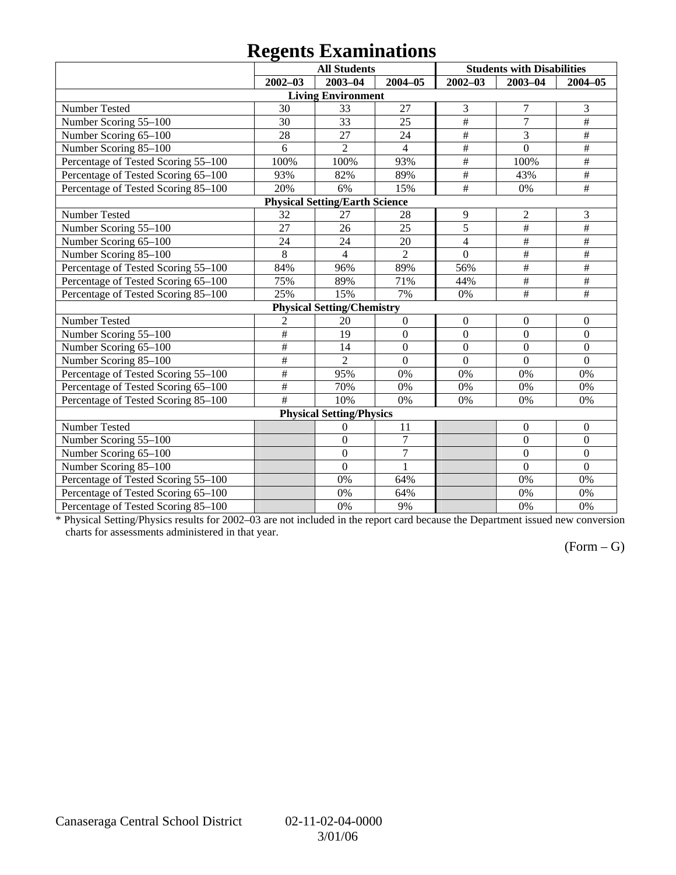# **Regents Examinations**

|                                     |                         | <b>All Students</b>                   |                  |                         | <b>Students with Disabilities</b> |                         |
|-------------------------------------|-------------------------|---------------------------------------|------------------|-------------------------|-----------------------------------|-------------------------|
|                                     | $2002 - 03$             | $2003 - 04$                           | $2004 - 05$      | $2002 - 03$             | $2003 - 04$                       | $2004 - 05$             |
|                                     |                         | <b>Living Environment</b>             |                  |                         |                                   |                         |
| Number Tested                       | 30                      | 33                                    | 27               | 3                       | $\tau$                            | 3                       |
| Number Scoring 55-100               | 30                      | 33                                    | 25               | $\overline{\ddot{\pi}}$ | $\overline{7}$                    | #                       |
| Number Scoring 65-100               | 28                      | 27                                    | 24               | $\overline{\#}$         | 3                                 | $\#$                    |
| Number Scoring 85-100               | 6                       | $\overline{2}$                        | $\overline{4}$   | #                       | $\overline{0}$                    | $\#$                    |
| Percentage of Tested Scoring 55-100 | 100%                    | 100%                                  | 93%              | $\#$                    | 100%                              | $\#$                    |
| Percentage of Tested Scoring 65-100 | 93%                     | 82%                                   | 89%              | $\overline{\#}$         | 43%                               | $\overline{\#}$         |
| Percentage of Tested Scoring 85-100 | 20%                     | 6%                                    | 15%              | #                       | 0%                                | $\overline{\ddot{\pi}}$ |
|                                     |                         | <b>Physical Setting/Earth Science</b> |                  |                         |                                   |                         |
| Number Tested                       | 32                      | 27                                    | 28               | 9                       | $\overline{c}$                    | 3                       |
| Number Scoring 55-100               | 27                      | 26                                    | 25               | 5                       | $\#$                              | $\overline{\#}$         |
| Number Scoring 65-100               | 24                      | 24                                    | 20               | $\overline{4}$          | $\#$                              | $\#$                    |
| Number Scoring 85-100               | $\,8\,$                 | 4                                     | $\overline{2}$   | $\boldsymbol{0}$        | $\#$                              | $\#$                    |
| Percentage of Tested Scoring 55-100 | 84%                     | 96%                                   | 89%              | 56%                     | $\overline{\#}$                   | #                       |
| Percentage of Tested Scoring 65-100 | 75%                     | 89%                                   | 71%              | 44%                     | $\overline{\#}$                   | #                       |
| Percentage of Tested Scoring 85-100 | 25%                     | 15%                                   | 7%               | 0%                      | $\#$                              | $\#$                    |
|                                     |                         | <b>Physical Setting/Chemistry</b>     |                  |                         |                                   |                         |
| Number Tested                       | $\overline{c}$          | 20                                    | $\boldsymbol{0}$ | $\boldsymbol{0}$        | $\mathbf{0}$                      | $\boldsymbol{0}$        |
| Number Scoring 55-100               | $\#$                    | 19                                    | $\boldsymbol{0}$ | $\boldsymbol{0}$        | $\boldsymbol{0}$                  | $\boldsymbol{0}$        |
| Number Scoring 65-100               | $\overline{\ddot{\pi}}$ | 14                                    | $\mathbf{0}$     | $\overline{0}$          | $\overline{0}$                    | $\overline{0}$          |
| Number Scoring 85-100               | $\overline{\#}$         | $\overline{2}$                        | $\overline{0}$   | $\overline{0}$          | $\overline{0}$                    | $\overline{0}$          |
| Percentage of Tested Scoring 55-100 | $\#$                    | 95%                                   | 0%               | 0%                      | 0%                                | 0%                      |
| Percentage of Tested Scoring 65-100 | $\#$                    | 70%                                   | 0%               | 0%                      | 0%                                | 0%                      |
| Percentage of Tested Scoring 85-100 | #                       | 10%                                   | 0%               | 0%                      | 0%                                | 0%                      |
|                                     |                         | <b>Physical Setting/Physics</b>       |                  |                         |                                   |                         |
| <b>Number Tested</b>                |                         | 0                                     | 11               |                         | $\mathbf{0}$                      | $\mathbf{0}$            |
| Number Scoring 55-100               |                         | $\overline{0}$                        | $\boldsymbol{7}$ |                         | $\boldsymbol{0}$                  | $\boldsymbol{0}$        |
| Number Scoring 65-100               |                         | $\overline{0}$                        | $\overline{7}$   |                         | $\overline{0}$                    | $\overline{0}$          |
| Number Scoring 85-100               |                         | $\theta$                              | $\mathbf{1}$     |                         | $\overline{0}$                    | $\theta$                |
| Percentage of Tested Scoring 55-100 |                         | 0%                                    | 64%              |                         | 0%                                | 0%                      |
| Percentage of Tested Scoring 65-100 |                         | 0%                                    | 64%              |                         | 0%                                | 0%                      |
| Percentage of Tested Scoring 85-100 |                         | 0%                                    | 9%               |                         | 0%                                | 0%                      |

\* Physical Setting/Physics results for 2002–03 are not included in the report card because the Department issued new conversion charts for assessments administered in that year.

### $(Form - G)$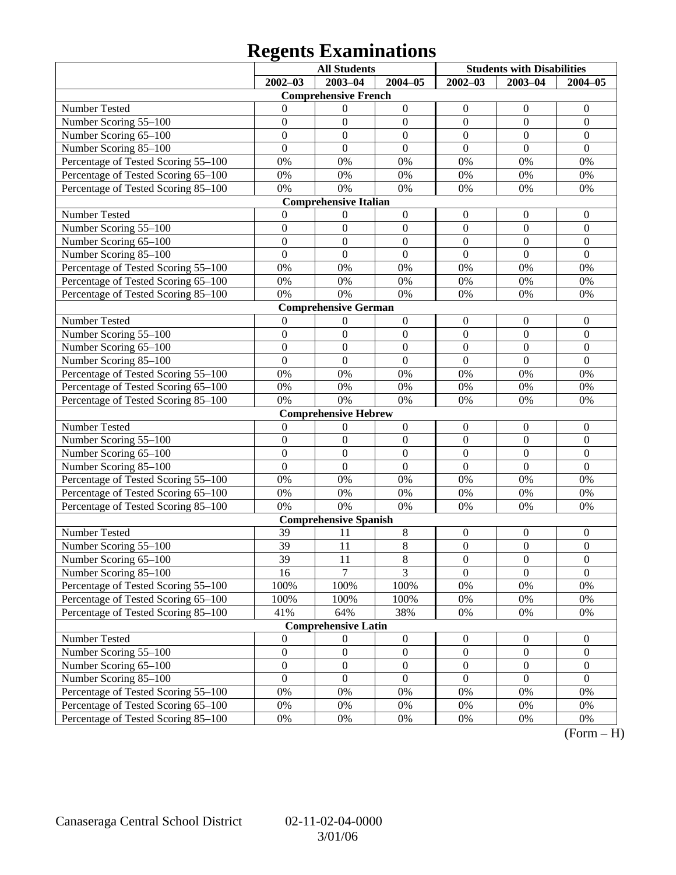# **Regents Examinations**

|                                     | <b>All Students</b> |                              |                  | <b>Students with Disabilities</b> |                  |                  |
|-------------------------------------|---------------------|------------------------------|------------------|-----------------------------------|------------------|------------------|
|                                     | $2002 - 03$         | $2003 - 04$                  | $2004 - 05$      | $2002 - 03$                       | $2003 - 04$      | $2004 - 05$      |
|                                     |                     | <b>Comprehensive French</b>  |                  |                                   |                  |                  |
| Number Tested                       | 0                   | $\theta$                     | $\boldsymbol{0}$ | $\boldsymbol{0}$                  | $\theta$         | $\theta$         |
| Number Scoring 55-100               | $\boldsymbol{0}$    | $\mathbf{0}$                 | $\boldsymbol{0}$ | $\mathbf{0}$                      | $\mathbf{0}$     | $\boldsymbol{0}$ |
| Number Scoring 65-100               | $\overline{0}$      | $\mathbf{0}$                 | $\mathbf{0}$     | $\boldsymbol{0}$                  | $\theta$         | $\overline{0}$   |
| Number Scoring 85-100               | $\overline{0}$      | $\mathbf{0}$                 | $\mathbf{0}$     | $\overline{0}$                    | $\theta$         | $\mathbf{0}$     |
| Percentage of Tested Scoring 55-100 | 0%                  | 0%                           | 0%               | 0%                                | 0%               | 0%               |
| Percentage of Tested Scoring 65-100 | 0%                  | 0%                           | $0\%$            | 0%                                | 0%               | 0%               |
| Percentage of Tested Scoring 85-100 | 0%                  | 0%                           | 0%               | 0%                                | 0%               | 0%               |
|                                     |                     | <b>Comprehensive Italian</b> |                  |                                   |                  |                  |
| Number Tested                       | 0                   | $\boldsymbol{0}$             | $\boldsymbol{0}$ | $\boldsymbol{0}$                  | $\boldsymbol{0}$ | $\theta$         |
| Number Scoring 55-100               | $\boldsymbol{0}$    | $\mathbf{0}$                 | $\boldsymbol{0}$ | $\mathbf{0}$                      | $\mathbf{0}$     | $\boldsymbol{0}$ |
| Number Scoring 65-100               | $\overline{0}$      | $\mathbf{0}$                 | $\mathbf{0}$     | $\boldsymbol{0}$                  | $\theta$         | $\overline{0}$   |
| Number Scoring 85-100               | $\overline{0}$      | $\mathbf{0}$                 | $\overline{0}$   | $\overline{0}$                    | $\overline{0}$   | $\mathbf{0}$     |
| Percentage of Tested Scoring 55-100 | 0%                  | 0%                           | 0%               | 0%                                | 0%               | 0%               |
| Percentage of Tested Scoring 65-100 | 0%                  | 0%                           | $0\%$            | 0%                                | 0%               | 0%               |
| Percentage of Tested Scoring 85-100 | 0%                  | 0%                           | 0%               | 0%                                | 0%               | 0%               |
|                                     |                     | <b>Comprehensive German</b>  |                  |                                   |                  |                  |
| Number Tested                       | $\theta$            | $\boldsymbol{0}$             | $\boldsymbol{0}$ | $\boldsymbol{0}$                  | $\boldsymbol{0}$ | $\boldsymbol{0}$ |
| Number Scoring 55-100               | $\boldsymbol{0}$    | $\mathbf{0}$                 | $\boldsymbol{0}$ | $\mathbf{0}$                      | $\overline{0}$   | $\mathbf{0}$     |
| Number Scoring 65-100               | $\overline{0}$      | $\mathbf{0}$                 | $\mathbf{0}$     | $\boldsymbol{0}$                  | $\theta$         | $\overline{0}$   |
| Number Scoring 85-100               | $\overline{0}$      | $\mathbf{0}$                 | $\overline{0}$   | $\overline{0}$                    | $\overline{0}$   | $\mathbf{0}$     |
| Percentage of Tested Scoring 55-100 | 0%                  | 0%                           | 0%               | 0%                                | 0%               | 0%               |
| Percentage of Tested Scoring 65-100 | 0%                  | 0%                           | 0%               | 0%                                | 0%               | 0%               |
| Percentage of Tested Scoring 85-100 | 0%                  | 0%                           | 0%               | 0%                                | 0%               | 0%               |
|                                     |                     | <b>Comprehensive Hebrew</b>  |                  |                                   |                  |                  |
| Number Tested                       | $\boldsymbol{0}$    | $\boldsymbol{0}$             | $\boldsymbol{0}$ | $\boldsymbol{0}$                  | $\boldsymbol{0}$ | $\boldsymbol{0}$ |
| Number Scoring 55-100               | $\boldsymbol{0}$    | $\boldsymbol{0}$             | $\mathbf{0}$     | $\mathbf{0}$                      | $\boldsymbol{0}$ | $\mathbf{0}$     |
| Number Scoring 65-100               | $\overline{0}$      | $\mathbf{0}$                 | $\mathbf{0}$     | $\boldsymbol{0}$                  | $\boldsymbol{0}$ | $\mathbf{0}$     |
| Number Scoring 85-100               | $\overline{0}$      | $\boldsymbol{0}$             | $\overline{0}$   | $\overline{0}$                    | $\overline{0}$   | $\mathbf{0}$     |
| Percentage of Tested Scoring 55-100 | 0%                  | 0%                           | 0%               | 0%                                | 0%               | 0%               |
| Percentage of Tested Scoring 65-100 | 0%                  | 0%                           | $0\%$            | 0%                                | 0%               | 0%               |
| Percentage of Tested Scoring 85-100 | 0%                  | 0%                           | 0%               | 0%                                | 0%               | 0%               |
|                                     |                     | <b>Comprehensive Spanish</b> |                  |                                   |                  |                  |
| Number Tested                       | 39                  | 11                           | 8                | $\boldsymbol{0}$                  | $\boldsymbol{0}$ | $\boldsymbol{0}$ |
| Number Scoring 55-100               | 39                  | 11                           | 8                | $\boldsymbol{0}$                  | $\boldsymbol{0}$ | $\mathbf{0}$     |
| Number Scoring 65–100               | 39                  | 11                           | $8\,$            | $\theta$                          | $\boldsymbol{0}$ | $\boldsymbol{0}$ |
| Number Scoring 85-100               | 16                  | $\overline{7}$               | $\overline{3}$   | $\Omega$                          | $\theta$         | $\overline{0}$   |
| Percentage of Tested Scoring 55-100 | 100%                | 100%                         | 100%             | $0\%$                             | 0%               | 0%               |
| Percentage of Tested Scoring 65-100 | 100%                | 100%                         | 100%             | 0%                                | 0%               | $0\%$            |
| Percentage of Tested Scoring 85-100 | 41%                 | 64%                          | 38%              | 0%                                | 0%               | 0%               |
|                                     |                     | <b>Comprehensive Latin</b>   |                  |                                   |                  |                  |
| Number Tested                       | $\boldsymbol{0}$    | $\boldsymbol{0}$             | $\boldsymbol{0}$ | $\boldsymbol{0}$                  | $\boldsymbol{0}$ | $\boldsymbol{0}$ |
| Number Scoring 55-100               | $\boldsymbol{0}$    | $\boldsymbol{0}$             | $\boldsymbol{0}$ | $\boldsymbol{0}$                  | $\boldsymbol{0}$ | $\boldsymbol{0}$ |
| Number Scoring 65-100               | $\boldsymbol{0}$    | $\boldsymbol{0}$             | $\boldsymbol{0}$ | $\boldsymbol{0}$                  | $\boldsymbol{0}$ | $\boldsymbol{0}$ |
| Number Scoring 85-100               | $\boldsymbol{0}$    | $\boldsymbol{0}$             | $\mathbf{0}$     | $\mathbf{0}$                      | $\mathbf{0}$     | $\boldsymbol{0}$ |
| Percentage of Tested Scoring 55-100 | 0%                  | 0%                           | $0\%$            | 0%                                | 0%               | 0%               |
| Percentage of Tested Scoring 65-100 | 0%                  | 0%                           | 0%               | 0%                                | 0%               | 0%               |
| Percentage of Tested Scoring 85-100 | 0%                  | 0%                           | 0%               | 0%                                | 0%               | 0%               |

 $(Form - H)$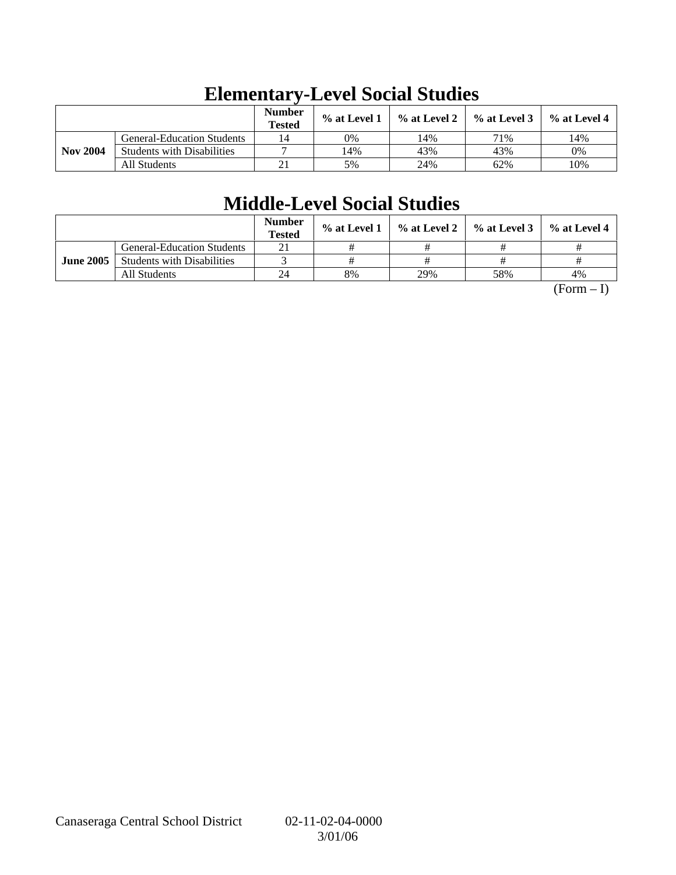|                 |                                   | <b>Number</b><br><b>Tested</b> | $%$ at Level 1 | $\%$ at Level 2 | $%$ at Level 3 | % at Level 4 |
|-----------------|-----------------------------------|--------------------------------|----------------|-----------------|----------------|--------------|
|                 | <b>General-Education Students</b> | 14                             | 0%             | .4%             | 71%            | 14%          |
| <b>Nov 2004</b> | <b>Students with Disabilities</b> |                                | 14%            | 43%             | 43%            | 0%           |
|                 | All Students                      | 21                             | 5%             | 24%             | 62%            | 10%          |

# **Elementary-Level Social Studies**

# **Middle-Level Social Studies**

|                  |                                   | <b>Number</b><br><b>Tested</b> | $\%$ at Level 1 |     | $\%$ at Level 2 $\%$ at Level 3 | % at Level 4 |
|------------------|-----------------------------------|--------------------------------|-----------------|-----|---------------------------------|--------------|
|                  | <b>General-Education Students</b> | 21                             |                 |     |                                 |              |
| <b>June 2005</b> | <b>Students with Disabilities</b> |                                |                 |     |                                 |              |
|                  | All Students                      | 24                             | 8%              | 29% | 58%                             | 4%           |

 $(Form - I)$